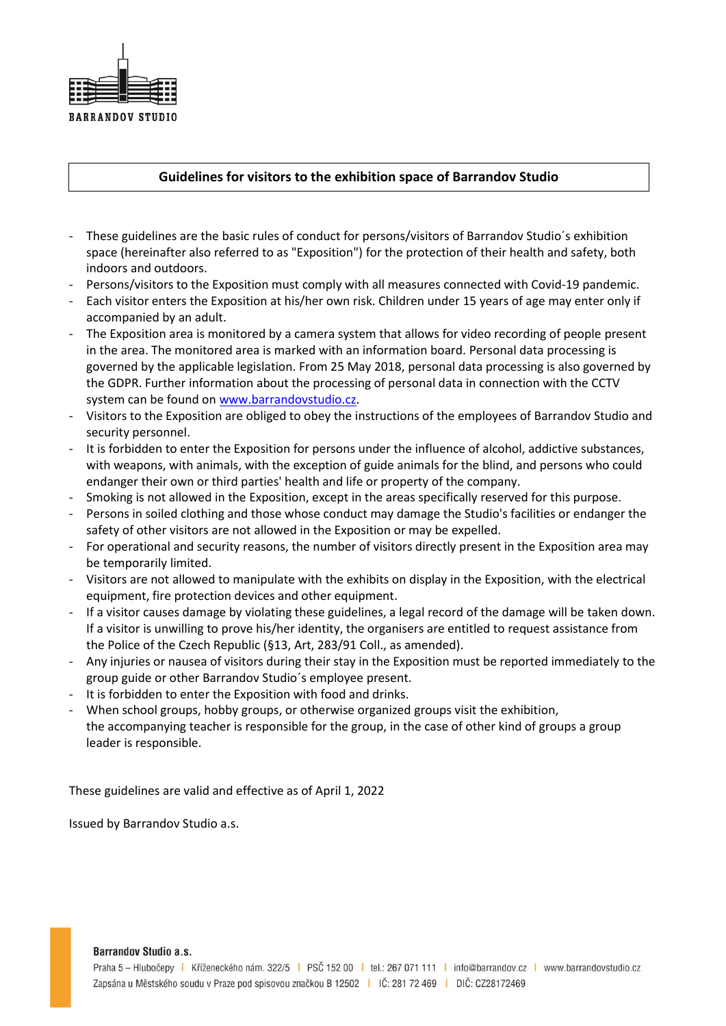

## **Guidelines for visitors to the exhibition space of Barrandov Studio**

- These guidelines are the basic rules of conduct for persons/visitors of Barrandov Studio´s exhibition space (hereinafter also referred to as "Exposition") for the protection of their health and safety, both indoors and outdoors.
- Persons/visitors to the Exposition must comply with all measures connected with Covid-19 pandemic.
- Each visitor enters the Exposition at his/her own risk. Children under 15 years of age may enter only if accompanied by an adult.
- The Exposition area is monitored by a camera system that allows for video recording of people present in the area. The monitored area is marked with an information board. Personal data processing is governed by the applicable legislation. From 25 May 2018, personal data processing is also governed by the GDPR. Further information about the processing of personal data in connection with the CCTV system can be found on [www.barrandovstudio.cz.](http://www.barrandovstudio.cz/)
- Visitors to the Exposition are obliged to obey the instructions of the employees of Barrandov Studio and security personnel.
- It is forbidden to enter the Exposition for persons under the influence of alcohol, addictive substances, with weapons, with animals, with the exception of guide animals for the blind, and persons who could endanger their own or third parties' health and life or property of the company.
- Smoking is not allowed in the Exposition, except in the areas specifically reserved for this purpose.
- Persons in soiled clothing and those whose conduct may damage the Studio's facilities or endanger the safety of other visitors are not allowed in the Exposition or may be expelled.
- For operational and security reasons, the number of visitors directly present in the Exposition area may be temporarily limited.
- Visitors are not allowed to manipulate with the exhibits on display in the Exposition, with the electrical equipment, fire protection devices and other equipment.
- If a visitor causes damage by violating these guidelines, a legal record of the damage will be taken down. If a visitor is unwilling to prove his/her identity, the organisers are entitled to request assistance from the Police of the Czech Republic (§13, Art, 283/91 Coll., as amended).
- Any injuries or nausea of visitors during their stay in the Exposition must be reported immediately to the group guide or other Barrandov Studio´s employee present.
- It is forbidden to enter the Exposition with food and drinks.
- When school groups, hobby groups, or otherwise organized groups visit the exhibition, the accompanying teacher is responsible for the group, in the case of other kind of groups a group leader is responsible.

These guidelines are valid and effective as of April 1, 2022

Issued by Barrandov Studio a.s.